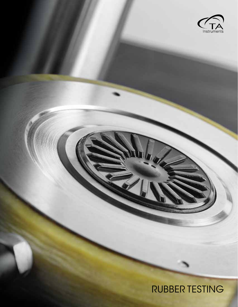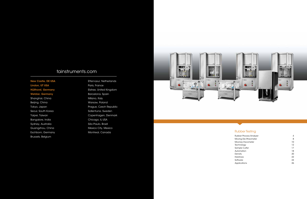## Rubber Testing

| <b>Rubber Process Analyzer</b> | 4  |
|--------------------------------|----|
| Moving Die Rheometer           | 8  |
| <b>Mooney Viscometer</b>       | 10 |
| Technology                     | 12 |
| Sample Cutter                  | 17 |
| Automation                     | 18 |
| Density                        | 20 |
| Hardness                       | 22 |
| Software                       | 24 |
| Applications                   | 26 |
|                                |    |

New Castle, DE USA Lindon, UT USA Hüllhorst, Germany Wetzlar, Germany Shanghai, China Beijing, China Tokyo, Japan Seoul, South Korea Taipei, Taiwan Bangalore, India Sydney, Australia Guangzhou, China Eschborn, Germany Brussels, Belgium

Etten-Leur, Netherlands Paris, France Elstree, United Kingdom Barcelona, Spain Milano, Italy Warsaw, Poland Prague, Czech Republic Sollentuna, Sweden Copenhagen, Denmark Chicago, IL US A São Paulo, Brazil Mexico City, Mexico Montreal, Canada



# tainstruments.com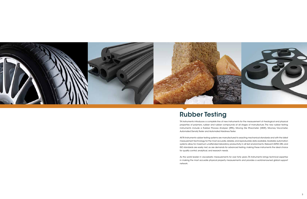TA Instruments introduces a complete line of new instruments for the measurement of rheological and physical properties of polymers, rubber and rubber compounds at all stages of manufacture. The new rubber testing instruments include a Rubber Process Analyzer (RPA), Moving Die Rheometer (MDR), Mooney Viscometer, Automated Density Tester and Automated Hardness Tester.

All TA Instruments rubber testing systems are manufactured to exacting mechanical standards and with the latest measurement technology for the most accurate, reliable, and reproducible data available. Available automation systems allow for maximum unattended laboratory productivity in all test environments. Relevant ASTM, DIN, and ISO standards are easily met, as are demands for advanced testing, making these instruments the ideal choice for quality control, analytical, and research needs.

As the world leader in viscoelastic measurements for over forty years, TA Instruments brings technical expertise in making the most accurate physical property measurements and provides a world-renowned global support network.



# Rubber Testing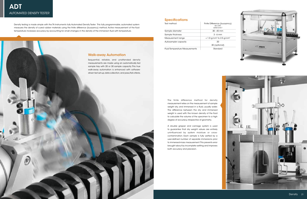Density testing is made simple with the TA Instruments fully Automated Density Tester. This fully programmable, automated system measures the density of cured rubber materials using the finite difference (buoyancy) method. Active measurement of the fluid temperature increases accuracy by accounting for small changes in the density of the immersion fluid with temperature.

### **Specifications**





| Test method                           | Finite Difference (buoyanc<br><b>ISO 2781</b><br><b>ASTM D1817</b> |
|---------------------------------------|--------------------------------------------------------------------|
| Sample diameter                       | $30 - 45$ mm                                                       |
| Sample thickness                      | $3 - 6$ mm                                                         |
| Measurement range                     | $< 1.0$ g/cm <sup>3</sup> to 2.5 g/cm <sup>3</sup>                 |
| Autosampler capacity                  | 20                                                                 |
|                                       | 30 (optional)                                                      |
| <b>Fluid Temperature Measurements</b> | Standard                                                           |

### The finite difference method for density measurement relies on the measurement of sample weight dry, and immersed in a fluid, usually water. The difference between the dry and immersed weight is used with the known density of the fluid to calculate the volume of the specimen to a high degree of accuracy, irrespective of geometry.

A double gripper and carriage system is used to guarantee that dry weight values are entirely uninfluenced by system moisture or crosscontamination. Each sample is fully wetted by a user-defined number of separate immersions prior to immersed-mass measurement. This prevents error brought about by incomplete wetting and improves both accuracy and precision.

# Walk-away Automation

Sequential, reliable, and unattended density measurements are made using an automatically fed sample tray with 20 or 30 sample capacity. This true walk-away automation is enhanced with softwaredriven test set-up, data collection, and pass/fail criteria.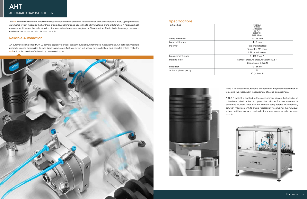The AHT Automated Hardness Tester streamlines the measurement of Shore A hardness for cured rubber materials. This fully programmable, automated system measures the hardness of cured rubber materials according to all international standards for Shore A hardness. Each measurement involves the determination of a user-defined number of single point Shore A values. The individual readings, mean and median of this set are reported for each sample.

### Reliable Automation

An automatic sample feed with 20-sample capacity provides sequential, reliable, unattended measurements. An optional 30-sample upgrade extends automation to even larger sample sets. Software-driven test set-up, data collection, and pass/fail criteria make the AHT Automated Hardness Tester a truly automated system.



### **Specifications**

Test method

| Shore A<br><b>ISO 868</b><br><b>ASTM D2240</b><br><b>ISO 7619</b><br>NFT 51-174<br><b>BSI BS 903-A26</b> |
|----------------------------------------------------------------------------------------------------------|
| $30 - 45$ mm                                                                                             |
| $4 - 6$ mm                                                                                               |
| Hardened steel rod                                                                                       |
| Truncated 35° cone                                                                                       |
| 0.79 mm diameter                                                                                         |
| 0 - 100 Shore A                                                                                          |
| Contact pressure, pressure weight: 12.5 N                                                                |
| Spring Force: 8.065 N                                                                                    |
| 0.1 Shore                                                                                                |
| 20                                                                                                       |
| 30 (optional)                                                                                            |

|                      | <b>ISO 868</b>                            |
|----------------------|-------------------------------------------|
|                      | ASTM D2240                                |
|                      | <b>ISO 7619</b>                           |
|                      | NFT 51-174                                |
|                      | <b>BSI BS 903-A26</b>                     |
| Sample diameter      | $30 - 45$ mm                              |
| Sample thickness     | $4 - 6$ mm                                |
| Indenter             | Hardened steel rod                        |
|                      | Truncated 35° cone                        |
|                      | 0.79 mm diameter                          |
| Measurement range    | 0 - 100 Shore A                           |
| Pressing force       | Contact pressure, pressure weight: 12.5 N |
|                      | Spring Force: 8.065 N                     |
| Resolution           | 0.1 Shore                                 |
| Autosampler capacity | 20                                        |



Shore A hardness measurements are based on the precise application of force and the subsequent measurement of probe displacement.

A 12.5 N weight is applied to the measurement device that consists of a hardened steel probe of a prescribed shape. The measurement is performed multiple times, with the sample being rotated automatically between measurements to ensure representative sampling. The individual values, and the mean and median for the specimen are reported for each sample.

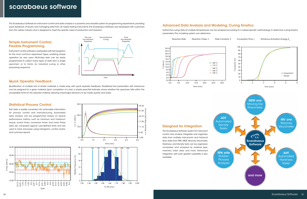# scarabaeus software

The Scarabaeus Software for instrument control and data analysis is a powerful and versatile system for programming experiments, providing quick feedback of results, and managing data from all rubber testing instruments. The Scarabaeus Software was developed with customers from the rubber industry and is designed to meet the specific need of production and research.

### Quick Operator Feedback

Qualification of multiple lots of similar materials is made easy with quick operator feedback. Predefined test parameters with tolerances can be assigned for a given material. Upon completion of a test, a simple pass/fail indicator shows whether the specimen falls within the acceptable limits for the selected material, allowing meaningful decisions to be made quickly and easily.

# Advanced Data Analysis and Modeling: Curing Kinetics

Isothermal curing data at multiple temperatures can be analyzed according to a rubber-specific methodology to determine curing kinetics parameters. This modeling system can determine:

Pre-cure Viscoelaastic Properties

Final Viscoelaastic Properties

## Simple Instrument Control, Flexible Programming

Instrument control software is preloaded with test programs for the most common experiment types, enabling simple operation by new users. Multi-step tests can be easily programmed to collect many types of data from a single specimen, or to mimic an industrial curing or other processing sequence.

### Statistical Process Control

Test data is readily converted into actionable information for process control and manufacturing. Automated data analysis can be programmed based on typical performance metrics, such as minimum and maximum torque, scorch times, conversion times, and more. These data are compared against user-defined limits and are used to track processes using histograms, control charts, and summary reports.





Time

Non-Isothermal Curing

Temperature Strain Frequency

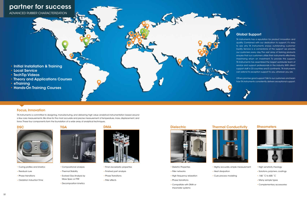32



# partner for success

ADVANCED RUBBER CHARACTERIZATION

- Initial Installation & Training
- Local Service
- TechTip Videos
- Theory and Applications Courses
- eTraining
- Hands-On Training Courses

## Focus, Innovation

TA Instruments is committed to designing, manufacturing, and delivering high value analytical instrumentation based around a few core measurements. We strive for the most accurate and precise measurement of temperature, mass, displacement, and force. These four components form the foundation of a wide array of analytical techniques.





## Global Support

TA Instruments has a reputation for product innovation and quality. Combined with our dedication to support, it's easy to see why TA Instruments enjoys outstanding customer loyalty. Service is a cornerstone of the support we provide our customers every day. The vast array of training products ensures that our customers utilize their instruments effectively, maximizing return on investment. To provide this support, TA Instruments has assembled the largest worldwide team of service and support professionals in the industry. With direct support staff in 23 countries and 5 continents, TA Instruments can extend its exception support to you, wherever you are.

Others promise good support. Talk to our customers and learn how TA Instruments consistently delivers exceptional support.

### DSC TGA TGA DMA DMA Dielectric Thermal Conductivity Rheometers



- Curing profiles and kinetics
- Residual cure
- Phase transitions
- Oxidation Induction Time





- Compositional analysis
- Thermal Stability
- Evolved Gas Analysis by Mass Spec or FTIR
- Decomposition kinetics



- Final viscoelastic properties
- Finished part analysis
- Phase Transitions
- Filler effects



- Dieletric Properties
- Filler networks
- High frequency relaxation
- Phase transitions
- rheometer systems



- 
- 



• Compatible with DMA or



- Highly accurate, simple measurement
- Cure process modeling



- Heat dissipation
- 
- High sensitivity rheology
- Solutions, polymers, coatings
- -160 ˚C to 600 ˚C
- Many sample types
- Complementary accessories